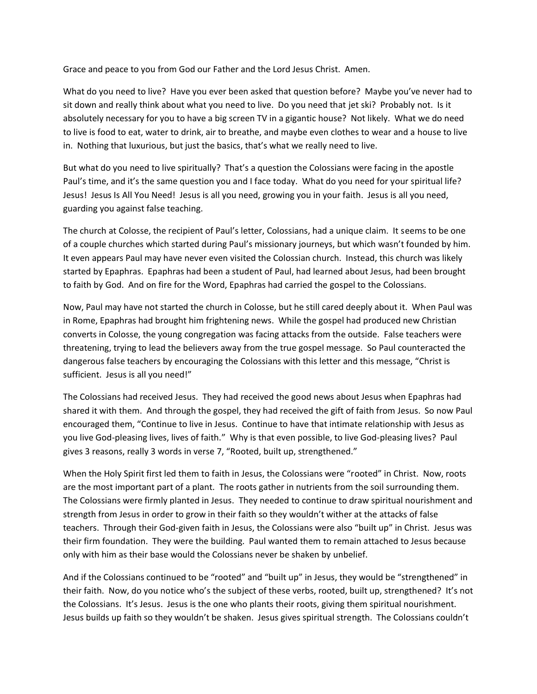Grace and peace to you from God our Father and the Lord Jesus Christ. Amen.

What do you need to live? Have you ever been asked that question before? Maybe you've never had to sit down and really think about what you need to live. Do you need that jet ski? Probably not. Is it absolutely necessary for you to have a big screen TV in a gigantic house? Not likely. What we do need to live is food to eat, water to drink, air to breathe, and maybe even clothes to wear and a house to live in. Nothing that luxurious, but just the basics, that's what we really need to live.

But what do you need to live spiritually? That's a question the Colossians were facing in the apostle Paul's time, and it's the same question you and I face today. What do you need for your spiritual life? Jesus! Jesus Is All You Need! Jesus is all you need, growing you in your faith. Jesus is all you need, guarding you against false teaching.

The church at Colosse, the recipient of Paul's letter, Colossians, had a unique claim. It seems to be one of a couple churches which started during Paul's missionary journeys, but which wasn't founded by him. It even appears Paul may have never even visited the Colossian church. Instead, this church was likely started by Epaphras. Epaphras had been a student of Paul, had learned about Jesus, had been brought to faith by God. And on fire for the Word, Epaphras had carried the gospel to the Colossians.

Now, Paul may have not started the church in Colosse, but he still cared deeply about it. When Paul was in Rome, Epaphras had brought him frightening news. While the gospel had produced new Christian converts in Colosse, the young congregation was facing attacks from the outside. False teachers were threatening, trying to lead the believers away from the true gospel message. So Paul counteracted the dangerous false teachers by encouraging the Colossians with this letter and this message, "Christ is sufficient. Jesus is all you need!"

The Colossians had received Jesus. They had received the good news about Jesus when Epaphras had shared it with them. And through the gospel, they had received the gift of faith from Jesus. So now Paul encouraged them, "Continue to live in Jesus. Continue to have that intimate relationship with Jesus as you live God-pleasing lives, lives of faith." Why is that even possible, to live God-pleasing lives? Paul gives 3 reasons, really 3 words in verse 7, "Rooted, built up, strengthened."

When the Holy Spirit first led them to faith in Jesus, the Colossians were "rooted" in Christ. Now, roots are the most important part of a plant. The roots gather in nutrients from the soil surrounding them. The Colossians were firmly planted in Jesus. They needed to continue to draw spiritual nourishment and strength from Jesus in order to grow in their faith so they wouldn't wither at the attacks of false teachers. Through their God-given faith in Jesus, the Colossians were also "built up" in Christ. Jesus was their firm foundation. They were the building. Paul wanted them to remain attached to Jesus because only with him as their base would the Colossians never be shaken by unbelief.

And if the Colossians continued to be "rooted" and "built up" in Jesus, they would be "strengthened" in their faith. Now, do you notice who's the subject of these verbs, rooted, built up, strengthened? It's not the Colossians. It's Jesus. Jesus is the one who plants their roots, giving them spiritual nourishment. Jesus builds up faith so they wouldn't be shaken. Jesus gives spiritual strength. The Colossians couldn't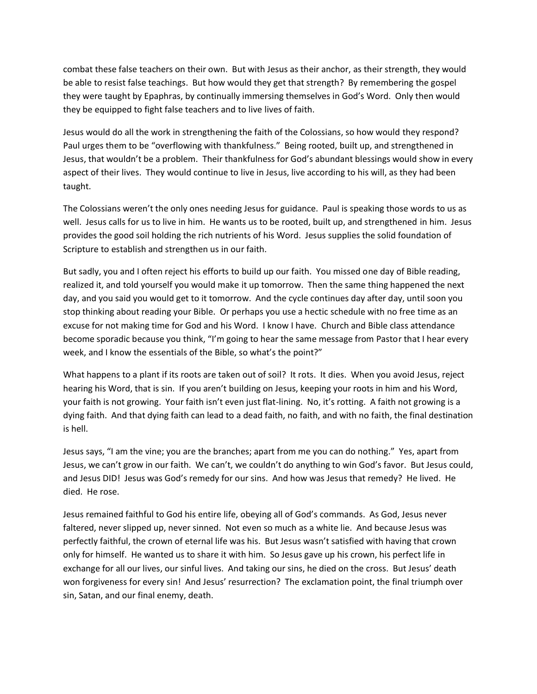combat these false teachers on their own. But with Jesus as their anchor, as their strength, they would be able to resist false teachings. But how would they get that strength? By remembering the gospel they were taught by Epaphras, by continually immersing themselves in God's Word. Only then would they be equipped to fight false teachers and to live lives of faith.

Jesus would do all the work in strengthening the faith of the Colossians, so how would they respond? Paul urges them to be "overflowing with thankfulness." Being rooted, built up, and strengthened in Jesus, that wouldn't be a problem. Their thankfulness for God's abundant blessings would show in every aspect of their lives. They would continue to live in Jesus, live according to his will, as they had been taught.

The Colossians weren't the only ones needing Jesus for guidance. Paul is speaking those words to us as well. Jesus calls for us to live in him. He wants us to be rooted, built up, and strengthened in him. Jesus provides the good soil holding the rich nutrients of his Word. Jesus supplies the solid foundation of Scripture to establish and strengthen us in our faith.

But sadly, you and I often reject his efforts to build up our faith. You missed one day of Bible reading, realized it, and told yourself you would make it up tomorrow. Then the same thing happened the next day, and you said you would get to it tomorrow. And the cycle continues day after day, until soon you stop thinking about reading your Bible. Or perhaps you use a hectic schedule with no free time as an excuse for not making time for God and his Word. I know I have. Church and Bible class attendance become sporadic because you think, "I'm going to hear the same message from Pastor that I hear every week, and I know the essentials of the Bible, so what's the point?"

What happens to a plant if its roots are taken out of soil? It rots. It dies. When you avoid Jesus, reject hearing his Word, that is sin. If you aren't building on Jesus, keeping your roots in him and his Word, your faith is not growing. Your faith isn't even just flat-lining. No, it's rotting. A faith not growing is a dying faith. And that dying faith can lead to a dead faith, no faith, and with no faith, the final destination is hell.

Jesus says, "I am the vine; you are the branches; apart from me you can do nothing." Yes, apart from Jesus, we can't grow in our faith. We can't, we couldn't do anything to win God's favor. But Jesus could, and Jesus DID! Jesus was God's remedy for our sins. And how was Jesus that remedy? He lived. He died. He rose.

Jesus remained faithful to God his entire life, obeying all of God's commands. As God, Jesus never faltered, never slipped up, never sinned. Not even so much as a white lie. And because Jesus was perfectly faithful, the crown of eternal life was his. But Jesus wasn't satisfied with having that crown only for himself. He wanted us to share it with him. So Jesus gave up his crown, his perfect life in exchange for all our lives, our sinful lives. And taking our sins, he died on the cross. But Jesus' death won forgiveness for every sin! And Jesus' resurrection? The exclamation point, the final triumph over sin, Satan, and our final enemy, death.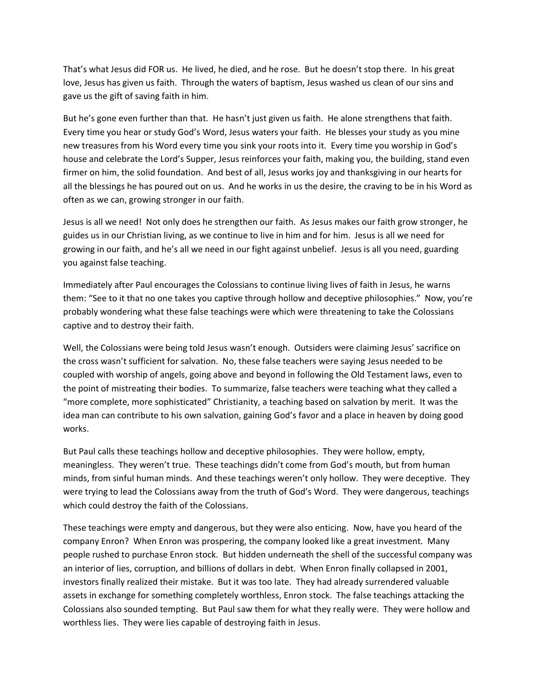That's what Jesus did FOR us. He lived, he died, and he rose. But he doesn't stop there. In his great love, Jesus has given us faith. Through the waters of baptism, Jesus washed us clean of our sins and gave us the gift of saving faith in him.

But he's gone even further than that. He hasn't just given us faith. He alone strengthens that faith. Every time you hear or study God's Word, Jesus waters your faith. He blesses your study as you mine new treasures from his Word every time you sink your roots into it. Every time you worship in God's house and celebrate the Lord's Supper, Jesus reinforces your faith, making you, the building, stand even firmer on him, the solid foundation. And best of all, Jesus works joy and thanksgiving in our hearts for all the blessings he has poured out on us. And he works in us the desire, the craving to be in his Word as often as we can, growing stronger in our faith.

Jesus is all we need! Not only does he strengthen our faith. As Jesus makes our faith grow stronger, he guides us in our Christian living, as we continue to live in him and for him. Jesus is all we need for growing in our faith, and he's all we need in our fight against unbelief. Jesus is all you need, guarding you against false teaching.

Immediately after Paul encourages the Colossians to continue living lives of faith in Jesus, he warns them: "See to it that no one takes you captive through hollow and deceptive philosophies." Now, you're probably wondering what these false teachings were which were threatening to take the Colossians captive and to destroy their faith.

Well, the Colossians were being told Jesus wasn't enough. Outsiders were claiming Jesus' sacrifice on the cross wasn't sufficient for salvation. No, these false teachers were saying Jesus needed to be coupled with worship of angels, going above and beyond in following the Old Testament laws, even to the point of mistreating their bodies. To summarize, false teachers were teaching what they called a "more complete, more sophisticated" Christianity, a teaching based on salvation by merit. It was the idea man can contribute to his own salvation, gaining God's favor and a place in heaven by doing good works.

But Paul calls these teachings hollow and deceptive philosophies. They were hollow, empty, meaningless. They weren't true. These teachings didn't come from God's mouth, but from human minds, from sinful human minds. And these teachings weren't only hollow. They were deceptive. They were trying to lead the Colossians away from the truth of God's Word. They were dangerous, teachings which could destroy the faith of the Colossians.

These teachings were empty and dangerous, but they were also enticing. Now, have you heard of the company Enron? When Enron was prospering, the company looked like a great investment. Many people rushed to purchase Enron stock. But hidden underneath the shell of the successful company was an interior of lies, corruption, and billions of dollars in debt. When Enron finally collapsed in 2001, investors finally realized their mistake. But it was too late. They had already surrendered valuable assets in exchange for something completely worthless, Enron stock. The false teachings attacking the Colossians also sounded tempting. But Paul saw them for what they really were. They were hollow and worthless lies. They were lies capable of destroying faith in Jesus.